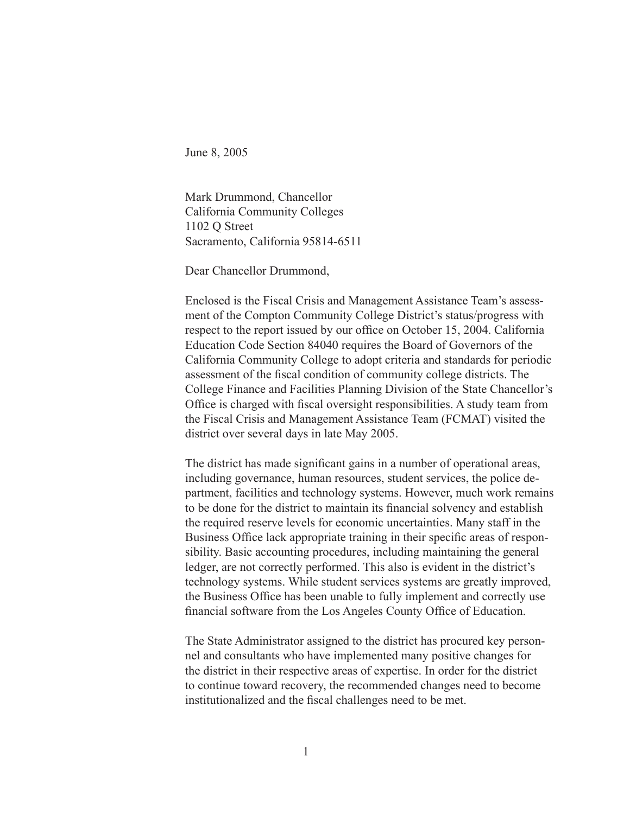June 8, 2005

Mark Drummond, Chancellor California Community Colleges 1102 Q Street Sacramento, California 95814-6511

Dear Chancellor Drummond,

Enclosed is the Fiscal Crisis and Management Assistance Team's assessment of the Compton Community College District's status/progress with respect to the report issued by our office on October 15, 2004. California Education Code Section 84040 requires the Board of Governors of the California Community College to adopt criteria and standards for periodic assessment of the fiscal condition of community college districts. The College Finance and Facilities Planning Division of the State Chancellor's Office is charged with fiscal oversight responsibilities. A study team from the Fiscal Crisis and Management Assistance Team (FCMAT) visited the district over several days in late May 2005.

The district has made significant gains in a number of operational areas, including governance, human resources, student services, the police department, facilities and technology systems. However, much work remains to be done for the district to maintain its financial solvency and establish the required reserve levels for economic uncertainties. Many staff in the Business Office lack appropriate training in their specific areas of responsibility. Basic accounting procedures, including maintaining the general ledger, are not correctly performed. This also is evident in the district's technology systems. While student services systems are greatly improved, the Business Office has been unable to fully implement and correctly use financial software from the Los Angeles County Office of Education.

The State Administrator assigned to the district has procured key personnel and consultants who have implemented many positive changes for the district in their respective areas of expertise. In order for the district to continue toward recovery, the recommended changes need to become institutionalized and the fiscal challenges need to be met.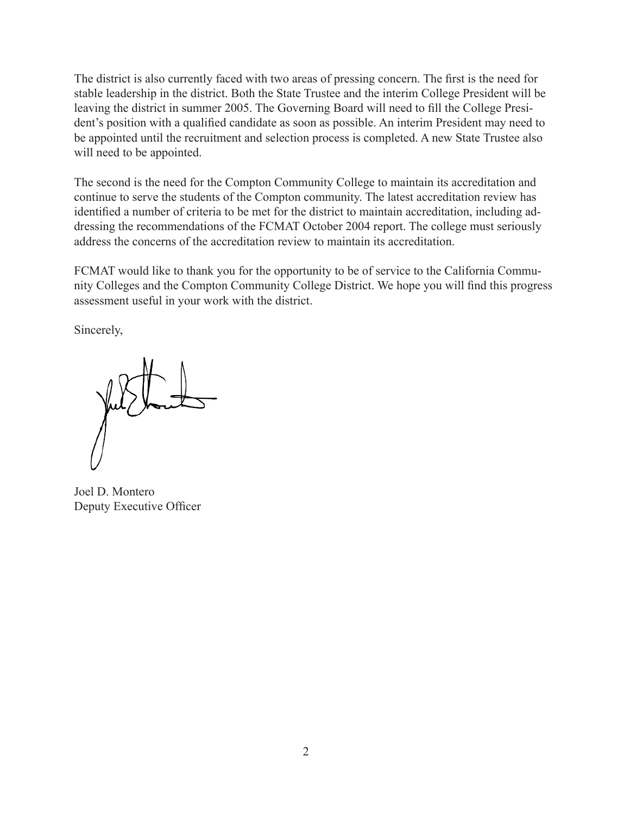The district is also currently faced with two areas of pressing concern. The first is the need for stable leadership in the district. Both the State Trustee and the interim College President will be leaving the district in summer 2005. The Governing Board will need to fill the College President's position with a qualified candidate as soon as possible. An interim President may need to be appointed until the recruitment and selection process is completed. A new State Trustee also will need to be appointed.

The second is the need for the Compton Community College to maintain its accreditation and continue to serve the students of the Compton community. The latest accreditation review has identified a number of criteria to be met for the district to maintain accreditation, including addressing the recommendations of the FCMAT October 2004 report. The college must seriously address the concerns of the accreditation review to maintain its accreditation.

FCMAT would like to thank you for the opportunity to be of service to the California Community Colleges and the Compton Community College District. We hope you will find this progress assessment useful in your work with the district.

Sincerely,

Joel D. Montero Deputy Executive Officer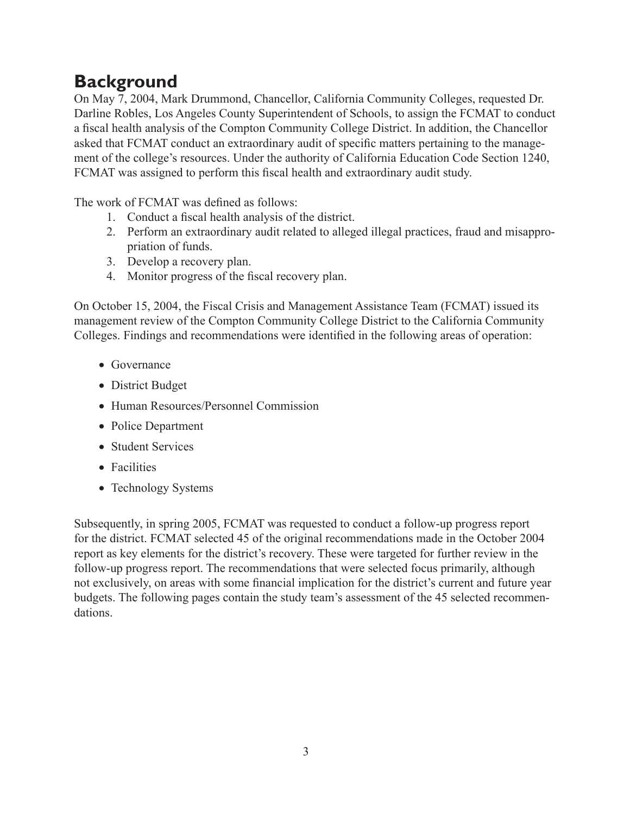# **Background**

On May 7, 2004, Mark Drummond, Chancellor, California Community Colleges, requested Dr. Darline Robles, Los Angeles County Superintendent of Schools, to assign the FCMAT to conduct a fiscal health analysis of the Compton Community College District. In addition, the Chancellor asked that FCMAT conduct an extraordinary audit of specific matters pertaining to the management of the college's resources. Under the authority of California Education Code Section 1240, FCMAT was assigned to perform this fiscal health and extraordinary audit study.

The work of FCMAT was defined as follows:

- 1. Conduct a fiscal health analysis of the district.
- 2. Perform an extraordinary audit related to alleged illegal practices, fraud and misappropriation of funds.
- 3. Develop a recovery plan.
- 4. Monitor progress of the fiscal recovery plan.

On October 15, 2004, the Fiscal Crisis and Management Assistance Team (FCMAT) issued its management review of the Compton Community College District to the California Community Colleges. Findings and recommendations were identified in the following areas of operation:

- Governance
- District Budget
- Human Resources/Personnel Commission
- Police Department
- Student Services
- Facilities
- Technology Systems

Subsequently, in spring 2005, FCMAT was requested to conduct a follow-up progress report for the district. FCMAT selected 45 of the original recommendations made in the October 2004 report as key elements for the district's recovery. These were targeted for further review in the follow-up progress report. The recommendations that were selected focus primarily, although not exclusively, on areas with some financial implication for the district's current and future year budgets. The following pages contain the study team's assessment of the 45 selected recommendations.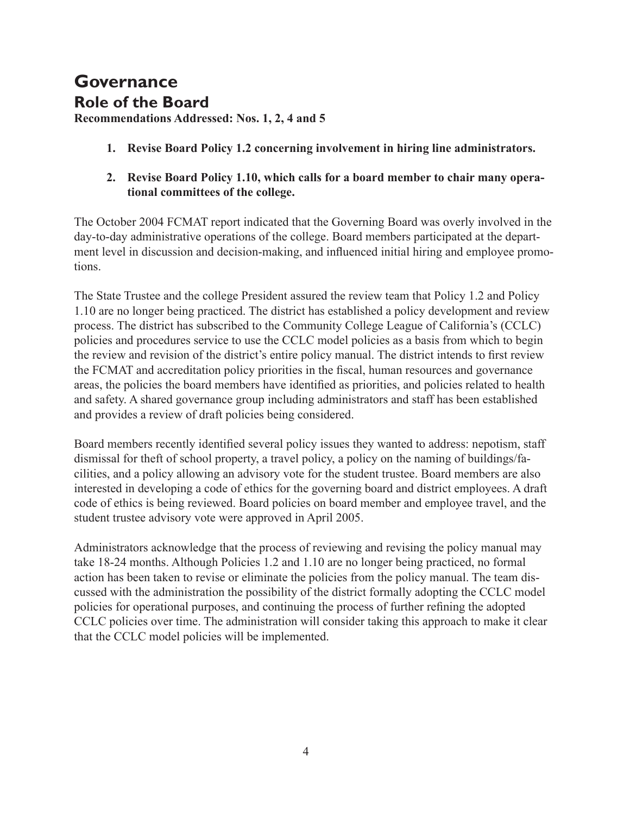## **Governance Role of the Board**

**Recommendations Addressed: Nos. 1, 2, 4 and 5**

- **1. Revise Board Policy 1.2 concerning involvement in hiring line administrators.**
- **2. Revise Board Policy 1.10, which calls for a board member to chair many operational committees of the college.**

The October 2004 FCMAT report indicated that the Governing Board was overly involved in the day-to-day administrative operations of the college. Board members participated at the department level in discussion and decision-making, and influenced initial hiring and employee promotions.

The State Trustee and the college President assured the review team that Policy 1.2 and Policy 1.10 are no longer being practiced. The district has established a policy development and review process. The district has subscribed to the Community College League of California's (CCLC) policies and procedures service to use the CCLC model policies as a basis from which to begin the review and revision of the district's entire policy manual. The district intends to first review the FCMAT and accreditation policy priorities in the fiscal, human resources and governance areas, the policies the board members have identified as priorities, and policies related to health and safety. A shared governance group including administrators and staff has been established and provides a review of draft policies being considered.

Board members recently identified several policy issues they wanted to address: nepotism, staff dismissal for theft of school property, a travel policy, a policy on the naming of buildings/facilities, and a policy allowing an advisory vote for the student trustee. Board members are also interested in developing a code of ethics for the governing board and district employees. A draft code of ethics is being reviewed. Board policies on board member and employee travel, and the student trustee advisory vote were approved in April 2005.

Administrators acknowledge that the process of reviewing and revising the policy manual may take 18-24 months. Although Policies 1.2 and 1.10 are no longer being practiced, no formal action has been taken to revise or eliminate the policies from the policy manual. The team discussed with the administration the possibility of the district formally adopting the CCLC model policies for operational purposes, and continuing the process of further refining the adopted CCLC policies over time. The administration will consider taking this approach to make it clear that the CCLC model policies will be implemented.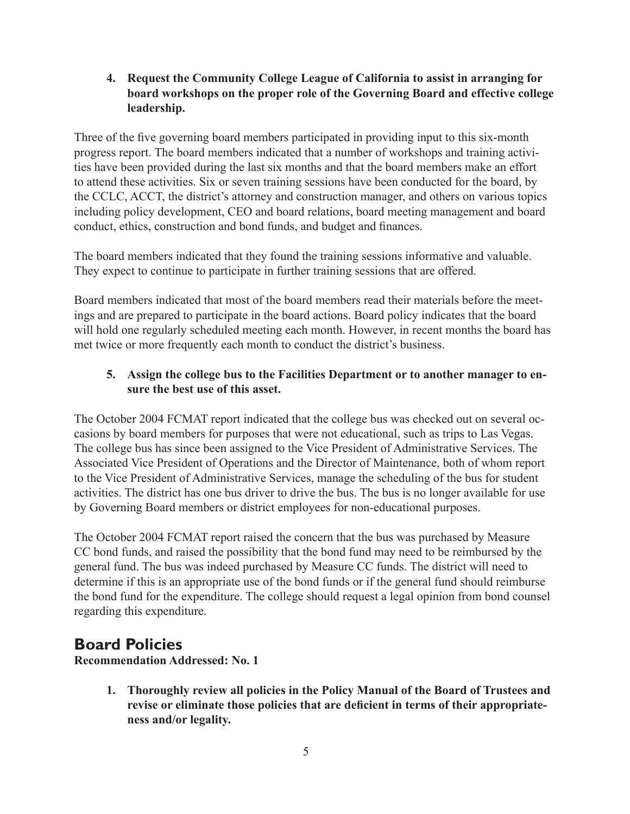**4. Request the Community College League of California to assist in arranging for board workshops on the proper role of the Governing Board and effective college leadership.**

Three of the five governing board members participated in providing input to this six-month progress report. The board members indicated that a number of workshops and training activities have been provided during the last six months and that the board members make an effort to attend these activities. Six or seven training sessions have been conducted for the board, by the CCLC, ACCT, the district's attorney and construction manager, and others on various topics including policy development, CEO and board relations, board meeting management and board conduct, ethics, construction and bond funds, and budget and finances.

The board members indicated that they found the training sessions informative and valuable. They expect to continue to participate in further training sessions that are offered.

Board members indicated that most of the board members read their materials before the meetings and are prepared to participate in the board actions. Board policy indicates that the board will hold one regularly scheduled meeting each month. However, in recent months the board has met twice or more frequently each month to conduct the district's business.

#### **5. Assign the college bus to the Facilities Department or to another manager to ensure the best use of this asset.**

The October 2004 FCMAT report indicated that the college bus was checked out on several occasions by board members for purposes that were not educational, such as trips to Las Vegas. The college bus has since been assigned to the Vice President of Administrative Services. The Associated Vice President of Operations and the Director of Maintenance, both of whom report to the Vice President of Administrative Services, manage the scheduling of the bus for student activities. The district has one bus driver to drive the bus. The bus is no longer available for use by Governing Board members or district employees for non-educational purposes.

The October 2004 FCMAT report raised the concern that the bus was purchased by Measure CC bond funds, and raised the possibility that the bond fund may need to be reimbursed by the general fund. The bus was indeed purchased by Measure CC funds. The district will need to determine if this is an appropriate use of the bond funds or if the general fund should reimburse the bond fund for the expenditure. The college should request a legal opinion from bond counsel regarding this expenditure.

### **Board Policies**

**Recommendation Addressed: No. 1**

**1. Thoroughly review all policies in the Policy Manual of the Board of Trustees and revise or eliminate those policies that are deficient in terms of their appropriateness and/or legality.**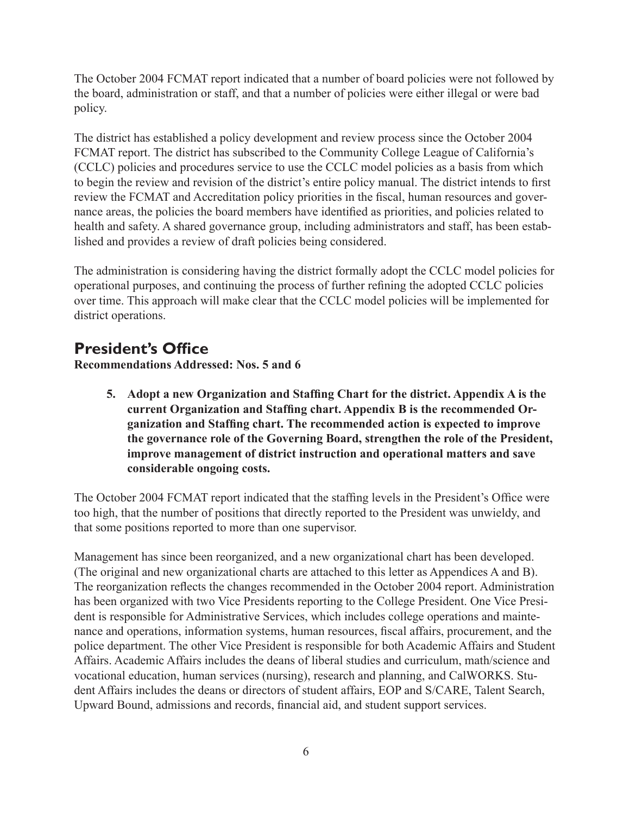The October 2004 FCMAT report indicated that a number of board policies were not followed by the board, administration or staff, and that a number of policies were either illegal or were bad policy.

The district has established a policy development and review process since the October 2004 FCMAT report. The district has subscribed to the Community College League of California's (CCLC) policies and procedures service to use the CCLC model policies as a basis from which to begin the review and revision of the district's entire policy manual. The district intends to first review the FCMAT and Accreditation policy priorities in the fiscal, human resources and governance areas, the policies the board members have identified as priorities, and policies related to health and safety. A shared governance group, including administrators and staff, has been established and provides a review of draft policies being considered.

The administration is considering having the district formally adopt the CCLC model policies for operational purposes, and continuing the process of further refining the adopted CCLC policies over time. This approach will make clear that the CCLC model policies will be implemented for district operations.

### **President's Office**

**Recommendations Addressed: Nos. 5 and 6**

**5. Adopt a new Organization and Staffing Chart for the district. Appendix A is the current Organization and Staffing chart. Appendix B is the recommended Organization and Staffing chart. The recommended action is expected to improve the governance role of the Governing Board, strengthen the role of the President, improve management of district instruction and operational matters and save considerable ongoing costs.**

The October 2004 FCMAT report indicated that the staffing levels in the President's Office were too high, that the number of positions that directly reported to the President was unwieldy, and that some positions reported to more than one supervisor.

Management has since been reorganized, and a new organizational chart has been developed. (The original and new organizational charts are attached to this letter as Appendices A and B). The reorganization reflects the changes recommended in the October 2004 report. Administration has been organized with two Vice Presidents reporting to the College President. One Vice President is responsible for Administrative Services, which includes college operations and maintenance and operations, information systems, human resources, fiscal affairs, procurement, and the police department. The other Vice President is responsible for both Academic Affairs and Student Affairs. Academic Affairs includes the deans of liberal studies and curriculum, math/science and vocational education, human services (nursing), research and planning, and CalWORKS. Student Affairs includes the deans or directors of student affairs, EOP and S/CARE, Talent Search, Upward Bound, admissions and records, financial aid, and student support services.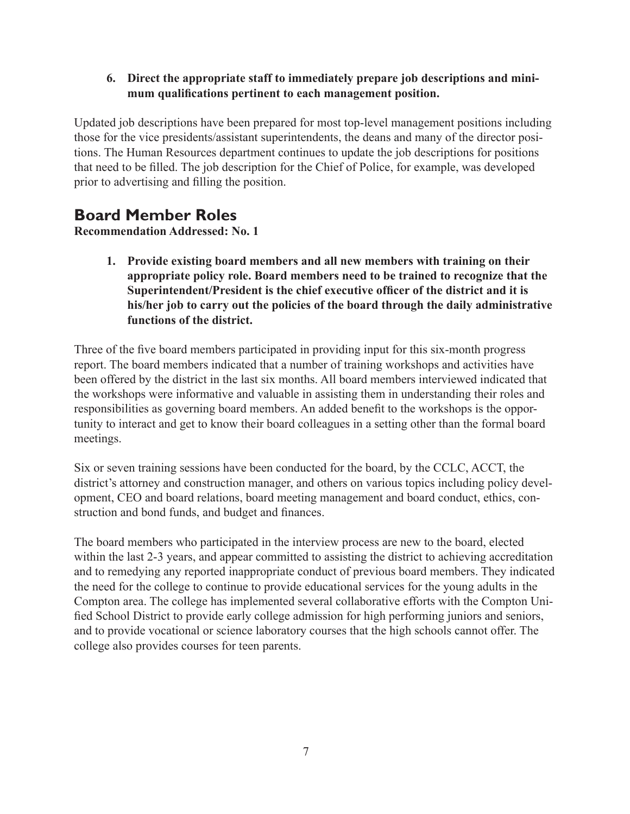#### **6. Direct the appropriate staff to immediately prepare job descriptions and minimum qualifications pertinent to each management position.**

Updated job descriptions have been prepared for most top-level management positions including those for the vice presidents/assistant superintendents, the deans and many of the director positions. The Human Resources department continues to update the job descriptions for positions that need to be filled. The job description for the Chief of Police, for example, was developed prior to advertising and filling the position.

### **Board Member Roles**

**Recommendation Addressed: No. 1**

**1. Provide existing board members and all new members with training on their appropriate policy role. Board members need to be trained to recognize that the Superintendent/President is the chief executive officer of the district and it is his/her job to carry out the policies of the board through the daily administrative functions of the district.** 

Three of the five board members participated in providing input for this six-month progress report. The board members indicated that a number of training workshops and activities have been offered by the district in the last six months. All board members interviewed indicated that the workshops were informative and valuable in assisting them in understanding their roles and responsibilities as governing board members. An added benefit to the workshops is the opportunity to interact and get to know their board colleagues in a setting other than the formal board meetings.

Six or seven training sessions have been conducted for the board, by the CCLC, ACCT, the district's attorney and construction manager, and others on various topics including policy development, CEO and board relations, board meeting management and board conduct, ethics, construction and bond funds, and budget and finances.

The board members who participated in the interview process are new to the board, elected within the last 2-3 years, and appear committed to assisting the district to achieving accreditation and to remedying any reported inappropriate conduct of previous board members. They indicated the need for the college to continue to provide educational services for the young adults in the Compton area. The college has implemented several collaborative efforts with the Compton Unified School District to provide early college admission for high performing juniors and seniors, and to provide vocational or science laboratory courses that the high schools cannot offer. The college also provides courses for teen parents.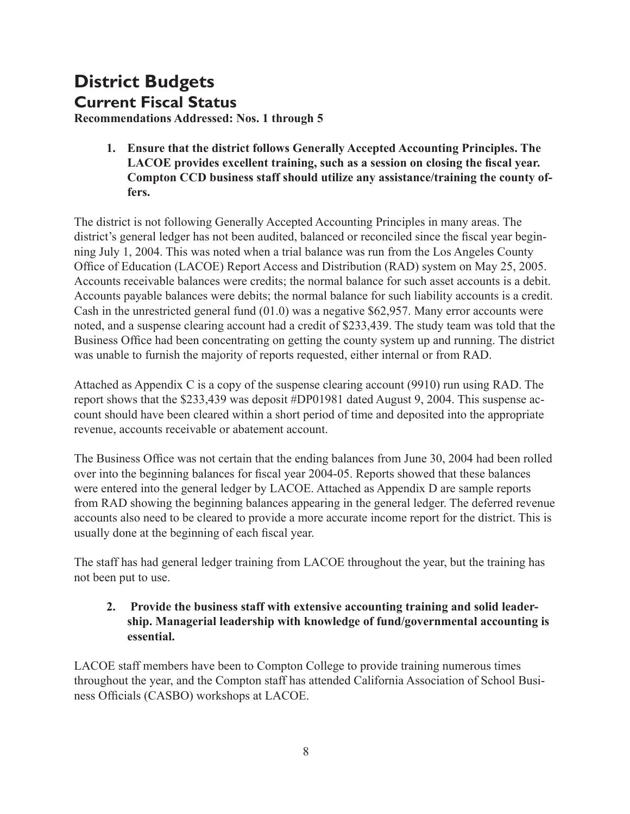# **District Budgets Current Fiscal Status**

**Recommendations Addressed: Nos. 1 through 5**

**1. Ensure that the district follows Generally Accepted Accounting Principles. The LACOE provides excellent training, such as a session on closing the fiscal year. Compton CCD business staff should utilize any assistance/training the county offers.**

The district is not following Generally Accepted Accounting Principles in many areas. The district's general ledger has not been audited, balanced or reconciled since the fiscal year beginning July 1, 2004. This was noted when a trial balance was run from the Los Angeles County Office of Education (LACOE) Report Access and Distribution (RAD) system on May 25, 2005. Accounts receivable balances were credits; the normal balance for such asset accounts is a debit. Accounts payable balances were debits; the normal balance for such liability accounts is a credit. Cash in the unrestricted general fund (01.0) was a negative \$62,957. Many error accounts were noted, and a suspense clearing account had a credit of \$233,439. The study team was told that the Business Office had been concentrating on getting the county system up and running. The district was unable to furnish the majority of reports requested, either internal or from RAD.

Attached as Appendix C is a copy of the suspense clearing account (9910) run using RAD. The report shows that the \$233,439 was deposit #DP01981 dated August 9, 2004. This suspense account should have been cleared within a short period of time and deposited into the appropriate revenue, accounts receivable or abatement account.

The Business Office was not certain that the ending balances from June 30, 2004 had been rolled over into the beginning balances for fiscal year 2004-05. Reports showed that these balances were entered into the general ledger by LACOE. Attached as Appendix D are sample reports from RAD showing the beginning balances appearing in the general ledger. The deferred revenue accounts also need to be cleared to provide a more accurate income report for the district. This is usually done at the beginning of each fiscal year.

The staff has had general ledger training from LACOE throughout the year, but the training has not been put to use.

#### **2. Provide the business staff with extensive accounting training and solid leadership. Managerial leadership with knowledge of fund/governmental accounting is essential.**

LACOE staff members have been to Compton College to provide training numerous times throughout the year, and the Compton staff has attended California Association of School Business Officials (CASBO) workshops at LACOE.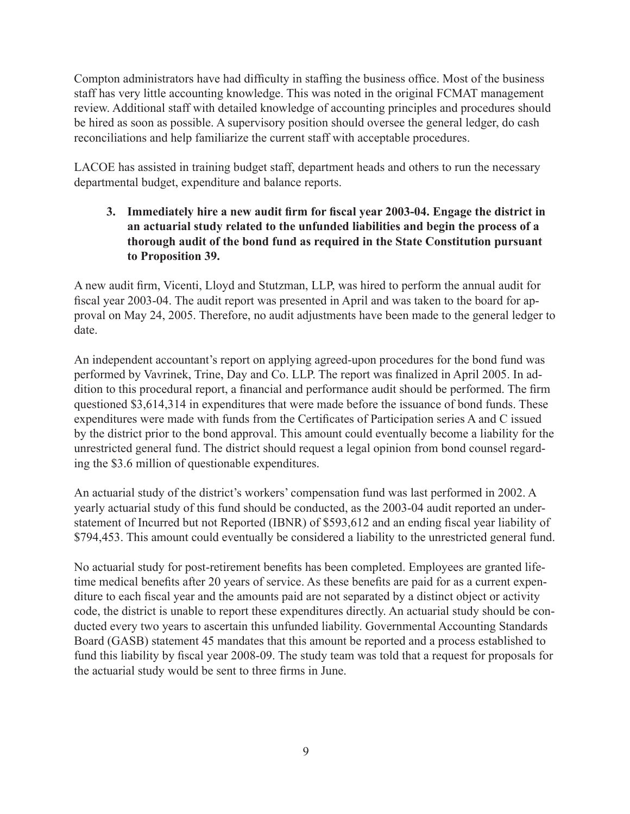Compton administrators have had difficulty in staffing the business office. Most of the business staff has very little accounting knowledge. This was noted in the original FCMAT management review. Additional staff with detailed knowledge of accounting principles and procedures should be hired as soon as possible. A supervisory position should oversee the general ledger, do cash reconciliations and help familiarize the current staff with acceptable procedures.

LACOE has assisted in training budget staff, department heads and others to run the necessary departmental budget, expenditure and balance reports.

#### **3. Immediately hire a new audit firm for fiscal year 2003-04. Engage the district in an actuarial study related to the unfunded liabilities and begin the process of a thorough audit of the bond fund as required in the State Constitution pursuant to Proposition 39.**

A new audit firm, Vicenti, Lloyd and Stutzman, LLP, was hired to perform the annual audit for fiscal year 2003-04. The audit report was presented in April and was taken to the board for approval on May 24, 2005. Therefore, no audit adjustments have been made to the general ledger to date.

An independent accountant's report on applying agreed-upon procedures for the bond fund was performed by Vavrinek, Trine, Day and Co. LLP. The report was finalized in April 2005. In addition to this procedural report, a financial and performance audit should be performed. The firm questioned \$3,614,314 in expenditures that were made before the issuance of bond funds. These expenditures were made with funds from the Certificates of Participation series A and C issued by the district prior to the bond approval. This amount could eventually become a liability for the unrestricted general fund. The district should request a legal opinion from bond counsel regarding the \$3.6 million of questionable expenditures.

An actuarial study of the district's workers' compensation fund was last performed in 2002. A yearly actuarial study of this fund should be conducted, as the 2003-04 audit reported an understatement of Incurred but not Reported (IBNR) of \$593,612 and an ending fiscal year liability of \$794,453. This amount could eventually be considered a liability to the unrestricted general fund.

No actuarial study for post-retirement benefits has been completed. Employees are granted lifetime medical benefits after 20 years of service. As these benefits are paid for as a current expenditure to each fiscal year and the amounts paid are not separated by a distinct object or activity code, the district is unable to report these expenditures directly. An actuarial study should be conducted every two years to ascertain this unfunded liability. Governmental Accounting Standards Board (GASB) statement 45 mandates that this amount be reported and a process established to fund this liability by fiscal year 2008-09. The study team was told that a request for proposals for the actuarial study would be sent to three firms in June.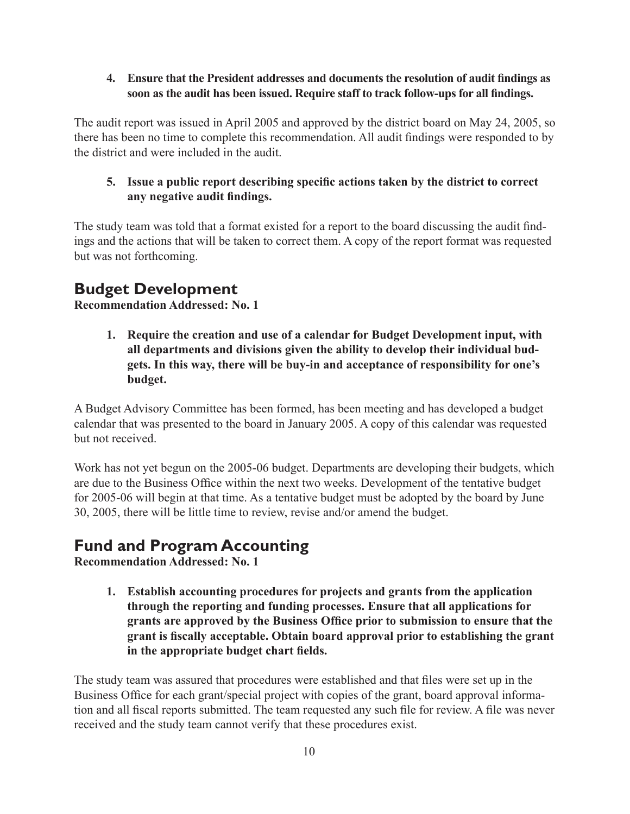#### **4. Ensure that the President addresses and documents the resolution of audit findings as soon as the audit has been issued. Require staff to track follow-ups for all findings.**

The audit report was issued in April 2005 and approved by the district board on May 24, 2005, so there has been no time to complete this recommendation. All audit findings were responded to by the district and were included in the audit.

#### **5. Issue a public report describing specific actions taken by the district to correct any negative audit findings.**

The study team was told that a format existed for a report to the board discussing the audit findings and the actions that will be taken to correct them. A copy of the report format was requested but was not forthcoming.

### **Budget Development**

**Recommendation Addressed: No. 1**

**1. Require the creation and use of a calendar for Budget Development input, with all departments and divisions given the ability to develop their individual budgets. In this way, there will be buy-in and acceptance of responsibility for one's budget.**

A Budget Advisory Committee has been formed, has been meeting and has developed a budget calendar that was presented to the board in January 2005. A copy of this calendar was requested but not received.

Work has not yet begun on the 2005-06 budget. Departments are developing their budgets, which are due to the Business Office within the next two weeks. Development of the tentative budget for 2005-06 will begin at that time. As a tentative budget must be adopted by the board by June 30, 2005, there will be little time to review, revise and/or amend the budget.

### **Fund and Program Accounting**

**Recommendation Addressed: No. 1**

**1. Establish accounting procedures for projects and grants from the application through the reporting and funding processes. Ensure that all applications for grants are approved by the Business Office prior to submission to ensure that the grant is fiscally acceptable. Obtain board approval prior to establishing the grant in the appropriate budget chart fields.**

The study team was assured that procedures were established and that files were set up in the Business Office for each grant/special project with copies of the grant, board approval information and all fiscal reports submitted. The team requested any such file for review. A file was never received and the study team cannot verify that these procedures exist.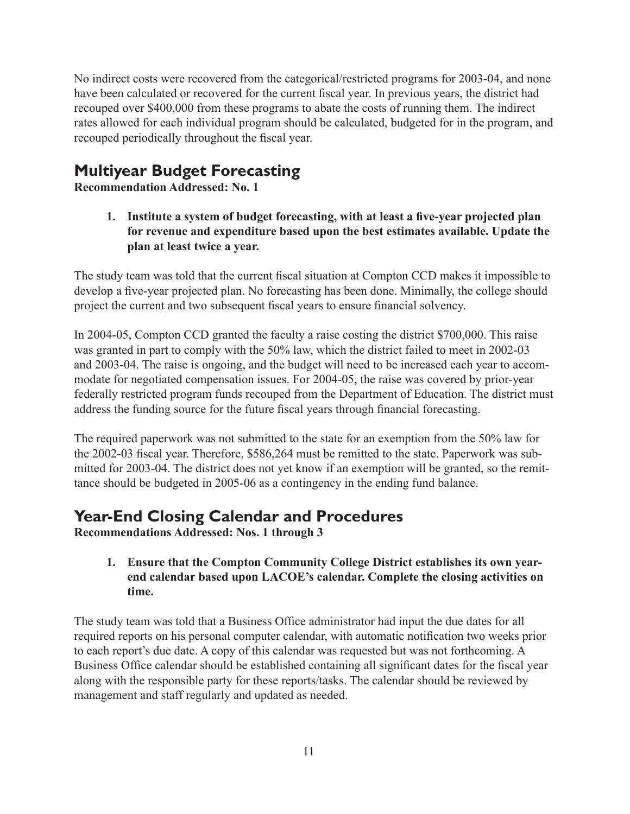No indirect costs were recovered from the categorical/restricted programs for 2003-04, and none have been calculated or recovered for the current fiscal year. In previous years, the district had recouped over \$400,000 from these programs to abate the costs of running them. The indirect rates allowed for each individual program should be calculated, budgeted for in the program, and recouped periodically throughout the fiscal year.

### **Multiyear Budget Forecasting**

**Recommendation Addressed: No. 1**

**1. Institute a system of budget forecasting, with at least a five-year projected plan for revenue and expenditure based upon the best estimates available. Update the plan at least twice a year.**

The study team was told that the current fiscal situation at Compton CCD makes it impossible to develop a five-year projected plan. No forecasting has been done. Minimally, the college should project the current and two subsequent fiscal years to ensure financial solvency.

In 2004-05, Compton CCD granted the faculty a raise costing the district \$700,000. This raise was granted in part to comply with the 50% law, which the district failed to meet in 2002-03 and 2003-04. The raise is ongoing, and the budget will need to be increased each year to accommodate for negotiated compensation issues. For 2004-05, the raise was covered by prior-year federally restricted program funds recouped from the Department of Education. The district must address the funding source for the future fiscal years through financial forecasting.

The required paperwork was not submitted to the state for an exemption from the 50% law for the 2002-03 fiscal year. Therefore, \$586,264 must be remitted to the state. Paperwork was submitted for 2003-04. The district does not yet know if an exemption will be granted, so the remittance should be budgeted in 2005-06 as a contingency in the ending fund balance.

### **Year-End Closing Calendar and Procedures**

**Recommendations Addressed: Nos. 1 through 3**

#### **1. Ensure that the Compton Community College District establishes its own yearend calendar based upon LACOE's calendar. Complete the closing activities on time.**

The study team was told that a Business Office administrator had input the due dates for all required reports on his personal computer calendar, with automatic notification two weeks prior to each report's due date. A copy of this calendar was requested but was not forthcoming. A Business Office calendar should be established containing all significant dates for the fiscal year along with the responsible party for these reports/tasks. The calendar should be reviewed by management and staff regularly and updated as needed.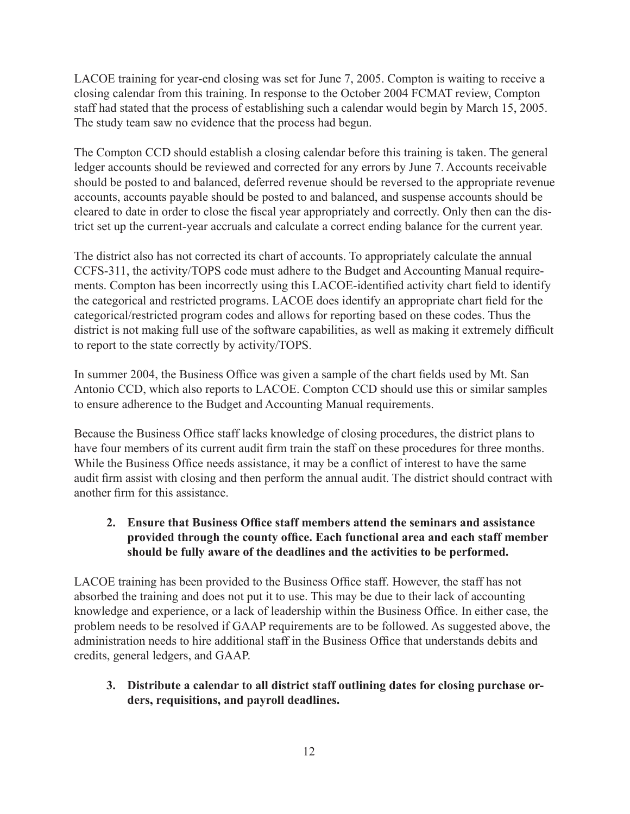LACOE training for year-end closing was set for June 7, 2005. Compton is waiting to receive a closing calendar from this training. In response to the October 2004 FCMAT review, Compton staff had stated that the process of establishing such a calendar would begin by March 15, 2005. The study team saw no evidence that the process had begun.

The Compton CCD should establish a closing calendar before this training is taken. The general ledger accounts should be reviewed and corrected for any errors by June 7. Accounts receivable should be posted to and balanced, deferred revenue should be reversed to the appropriate revenue accounts, accounts payable should be posted to and balanced, and suspense accounts should be cleared to date in order to close the fiscal year appropriately and correctly. Only then can the district set up the current-year accruals and calculate a correct ending balance for the current year.

The district also has not corrected its chart of accounts. To appropriately calculate the annual CCFS-311, the activity/TOPS code must adhere to the Budget and Accounting Manual requirements. Compton has been incorrectly using this LACOE-identified activity chart field to identify the categorical and restricted programs. LACOE does identify an appropriate chart field for the categorical/restricted program codes and allows for reporting based on these codes. Thus the district is not making full use of the software capabilities, as well as making it extremely difficult to report to the state correctly by activity/TOPS.

In summer 2004, the Business Office was given a sample of the chart fields used by Mt. San Antonio CCD, which also reports to LACOE. Compton CCD should use this or similar samples to ensure adherence to the Budget and Accounting Manual requirements.

Because the Business Office staff lacks knowledge of closing procedures, the district plans to have four members of its current audit firm train the staff on these procedures for three months. While the Business Office needs assistance, it may be a conflict of interest to have the same audit firm assist with closing and then perform the annual audit. The district should contract with another firm for this assistance.

#### **2. Ensure that Business Office staff members attend the seminars and assistance provided through the county office. Each functional area and each staff member should be fully aware of the deadlines and the activities to be performed.**

LACOE training has been provided to the Business Office staff. However, the staff has not absorbed the training and does not put it to use. This may be due to their lack of accounting knowledge and experience, or a lack of leadership within the Business Office. In either case, the problem needs to be resolved if GAAP requirements are to be followed. As suggested above, the administration needs to hire additional staff in the Business Office that understands debits and credits, general ledgers, and GAAP.

#### **3. Distribute a calendar to all district staff outlining dates for closing purchase orders, requisitions, and payroll deadlines.**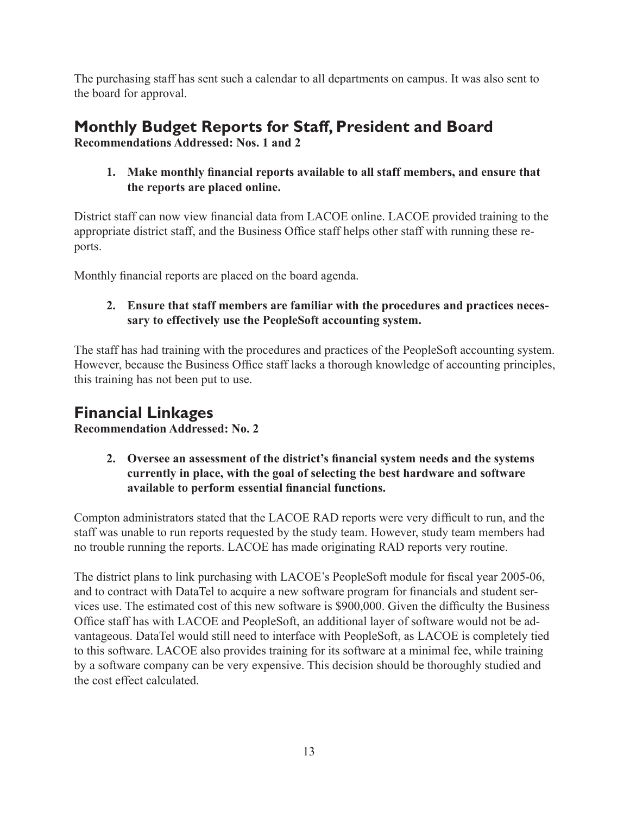The purchasing staff has sent such a calendar to all departments on campus. It was also sent to the board for approval.

# **Monthly Budget Reports for Staff, President and Board**

**Recommendations Addressed: Nos. 1 and 2**

**1. Make monthly financial reports available to all staff members, and ensure that the reports are placed online.**

District staff can now view financial data from LACOE online. LACOE provided training to the appropriate district staff, and the Business Office staff helps other staff with running these reports.

Monthly financial reports are placed on the board agenda.

#### **2. Ensure that staff members are familiar with the procedures and practices necessary to effectively use the PeopleSoft accounting system.**

The staff has had training with the procedures and practices of the PeopleSoft accounting system. However, because the Business Office staff lacks a thorough knowledge of accounting principles, this training has not been put to use.

### **Financial Linkages**

**Recommendation Addressed: No. 2**

**2. Oversee an assessment of the district's financial system needs and the systems currently in place, with the goal of selecting the best hardware and software available to perform essential financial functions.**

Compton administrators stated that the LACOE RAD reports were very difficult to run, and the staff was unable to run reports requested by the study team. However, study team members had no trouble running the reports. LACOE has made originating RAD reports very routine.

The district plans to link purchasing with LACOE's PeopleSoft module for fiscal year 2005-06, and to contract with DataTel to acquire a new software program for financials and student services use. The estimated cost of this new software is \$900,000. Given the difficulty the Business Office staff has with LACOE and PeopleSoft, an additional layer of software would not be advantageous. DataTel would still need to interface with PeopleSoft, as LACOE is completely tied to this software. LACOE also provides training for its software at a minimal fee, while training by a software company can be very expensive. This decision should be thoroughly studied and the cost effect calculated.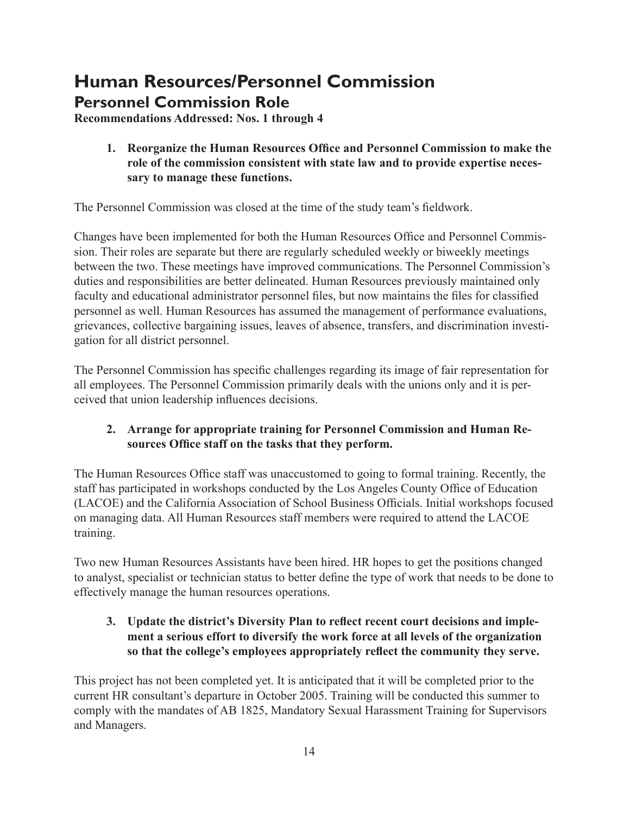## **Human Resources/Personnel Commission Personnel Commission Role**

**Recommendations Addressed: Nos. 1 through 4**

#### **1. Reorganize the Human Resources Office and Personnel Commission to make the role of the commission consistent with state law and to provide expertise necessary to manage these functions.**

The Personnel Commission was closed at the time of the study team's fieldwork.

Changes have been implemented for both the Human Resources Office and Personnel Commission. Their roles are separate but there are regularly scheduled weekly or biweekly meetings between the two. These meetings have improved communications. The Personnel Commission's duties and responsibilities are better delineated. Human Resources previously maintained only faculty and educational administrator personnel files, but now maintains the files for classified personnel as well. Human Resources has assumed the management of performance evaluations, grievances, collective bargaining issues, leaves of absence, transfers, and discrimination investigation for all district personnel.

The Personnel Commission has specific challenges regarding its image of fair representation for all employees. The Personnel Commission primarily deals with the unions only and it is perceived that union leadership influences decisions.

#### **2. Arrange for appropriate training for Personnel Commission and Human Resources Office staff on the tasks that they perform.**

The Human Resources Office staff was unaccustomed to going to formal training. Recently, the staff has participated in workshops conducted by the Los Angeles County Office of Education (LACOE) and the California Association of School Business Officials. Initial workshops focused on managing data. All Human Resources staff members were required to attend the LACOE training.

Two new Human Resources Assistants have been hired. HR hopes to get the positions changed to analyst, specialist or technician status to better define the type of work that needs to be done to effectively manage the human resources operations.

#### **3. Update the district's Diversity Plan to reflect recent court decisions and implement a serious effort to diversify the work force at all levels of the organization so that the college's employees appropriately reflect the community they serve.**

This project has not been completed yet. It is anticipated that it will be completed prior to the current HR consultant's departure in October 2005. Training will be conducted this summer to comply with the mandates of AB 1825, Mandatory Sexual Harassment Training for Supervisors and Managers.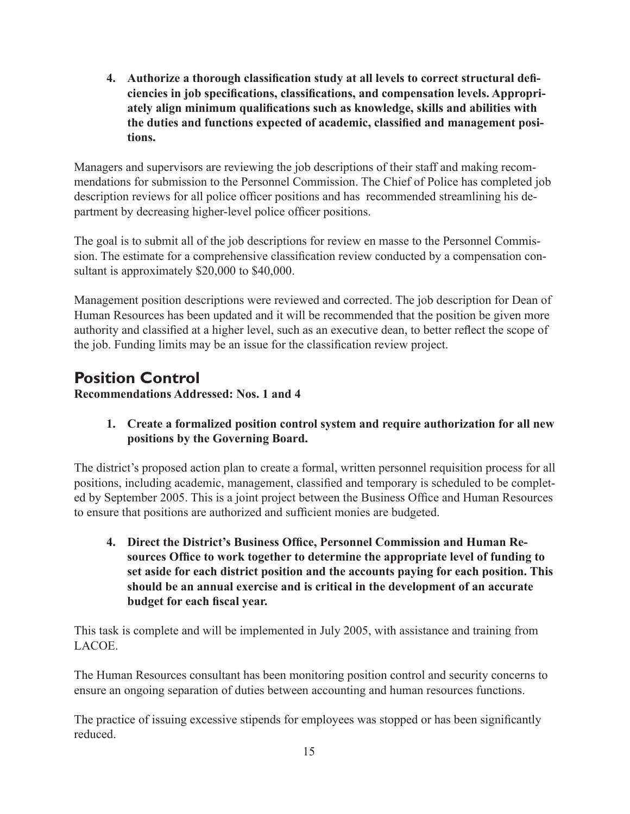**4. Authorize a thorough classification study at all levels to correct structural deficiencies in job specifications, classifications, and compensation levels. Appropriately align minimum qualifications such as knowledge, skills and abilities with the duties and functions expected of academic, classified and management positions.** 

Managers and supervisors are reviewing the job descriptions of their staff and making recommendations for submission to the Personnel Commission. The Chief of Police has completed job description reviews for all police officer positions and has recommended streamlining his department by decreasing higher-level police officer positions.

The goal is to submit all of the job descriptions for review en masse to the Personnel Commission. The estimate for a comprehensive classification review conducted by a compensation consultant is approximately \$20,000 to \$40,000.

Management position descriptions were reviewed and corrected. The job description for Dean of Human Resources has been updated and it will be recommended that the position be given more authority and classified at a higher level, such as an executive dean, to better reflect the scope of the job. Funding limits may be an issue for the classification review project.

### **Position Control**

**Recommendations Addressed: Nos. 1 and 4**

**1. Create a formalized position control system and require authorization for all new positions by the Governing Board.** 

The district's proposed action plan to create a formal, written personnel requisition process for all positions, including academic, management, classified and temporary is scheduled to be completed by September 2005. This is a joint project between the Business Office and Human Resources to ensure that positions are authorized and sufficient monies are budgeted.

**4. Direct the District's Business Office, Personnel Commission and Human Resources Office to work together to determine the appropriate level of funding to set aside for each district position and the accounts paying for each position. This should be an annual exercise and is critical in the development of an accurate budget for each fiscal year.**

This task is complete and will be implemented in July 2005, with assistance and training from LACOE.

The Human Resources consultant has been monitoring position control and security concerns to ensure an ongoing separation of duties between accounting and human resources functions.

The practice of issuing excessive stipends for employees was stopped or has been significantly reduced.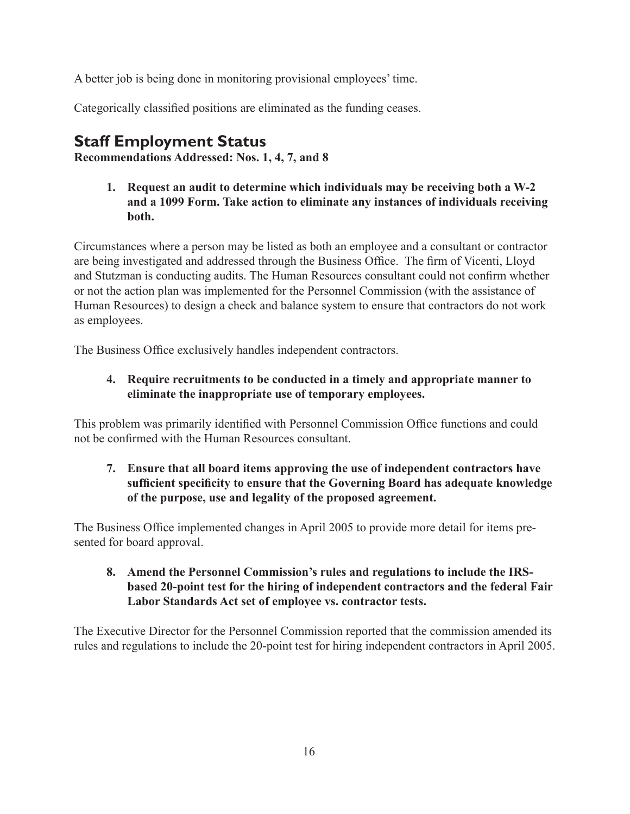A better job is being done in monitoring provisional employees' time.

Categorically classified positions are eliminated as the funding ceases.

### **Staff Employment Status**

**Recommendations Addressed: Nos. 1, 4, 7, and 8**

**1. Request an audit to determine which individuals may be receiving both a W-2 and a 1099 Form. Take action to eliminate any instances of individuals receiving both.** 

Circumstances where a person may be listed as both an employee and a consultant or contractor are being investigated and addressed through the Business Office. The firm of Vicenti, Lloyd and Stutzman is conducting audits. The Human Resources consultant could not confirm whether or not the action plan was implemented for the Personnel Commission (with the assistance of Human Resources) to design a check and balance system to ensure that contractors do not work as employees.

The Business Office exclusively handles independent contractors.

#### **4. Require recruitments to be conducted in a timely and appropriate manner to eliminate the inappropriate use of temporary employees.**

This problem was primarily identified with Personnel Commission Office functions and could not be confirmed with the Human Resources consultant.

**7. Ensure that all board items approving the use of independent contractors have sufficient specificity to ensure that the Governing Board has adequate knowledge of the purpose, use and legality of the proposed agreement.** 

The Business Office implemented changes in April 2005 to provide more detail for items presented for board approval.

**8. Amend the Personnel Commission's rules and regulations to include the IRSbased 20-point test for the hiring of independent contractors and the federal Fair Labor Standards Act set of employee vs. contractor tests.** 

The Executive Director for the Personnel Commission reported that the commission amended its rules and regulations to include the 20-point test for hiring independent contractors in April 2005.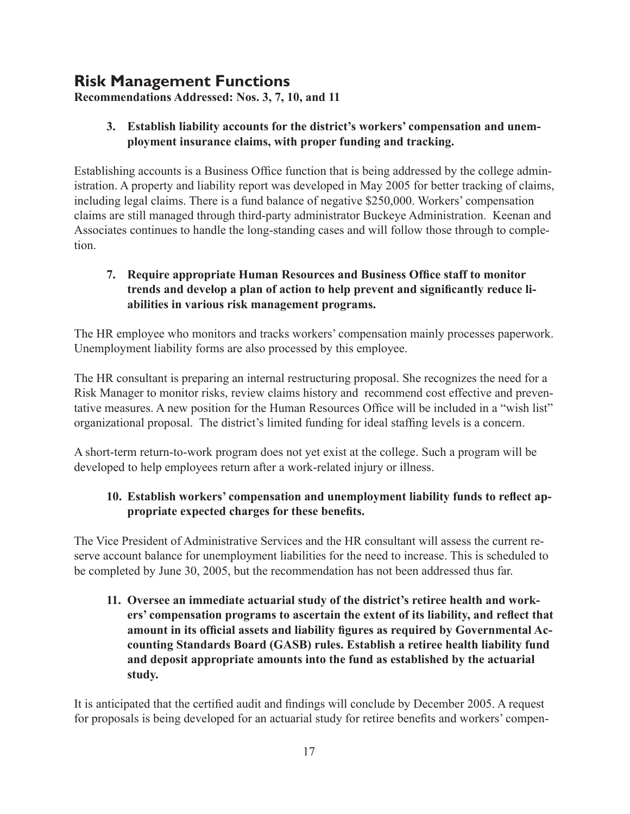### **Risk Management Functions**

**Recommendations Addressed: Nos. 3, 7, 10, and 11**

#### **3. Establish liability accounts for the district's workers' compensation and unemployment insurance claims, with proper funding and tracking.**

Establishing accounts is a Business Office function that is being addressed by the college administration. A property and liability report was developed in May 2005 for better tracking of claims, including legal claims. There is a fund balance of negative \$250,000. Workers' compensation claims are still managed through third-party administrator Buckeye Administration. Keenan and Associates continues to handle the long-standing cases and will follow those through to completion.

#### **7. Require appropriate Human Resources and Business Office staff to monitor trends and develop a plan of action to help prevent and significantly reduce liabilities in various risk management programs.**

The HR employee who monitors and tracks workers' compensation mainly processes paperwork. Unemployment liability forms are also processed by this employee.

The HR consultant is preparing an internal restructuring proposal. She recognizes the need for a Risk Manager to monitor risks, review claims history and recommend cost effective and preventative measures. A new position for the Human Resources Office will be included in a "wish list" organizational proposal. The district's limited funding for ideal staffing levels is a concern.

A short-term return-to-work program does not yet exist at the college. Such a program will be developed to help employees return after a work-related injury or illness.

#### **10. Establish workers' compensation and unemployment liability funds to reflect appropriate expected charges for these benefits.**

The Vice President of Administrative Services and the HR consultant will assess the current reserve account balance for unemployment liabilities for the need to increase. This is scheduled to be completed by June 30, 2005, but the recommendation has not been addressed thus far.

**11. Oversee an immediate actuarial study of the district's retiree health and workers' compensation programs to ascertain the extent of its liability, and reflect that amount in its official assets and liability figures as required by Governmental Accounting Standards Board (GASB) rules. Establish a retiree health liability fund and deposit appropriate amounts into the fund as established by the actuarial study.** 

It is anticipated that the certified audit and findings will conclude by December 2005. A request for proposals is being developed for an actuarial study for retiree benefits and workers' compen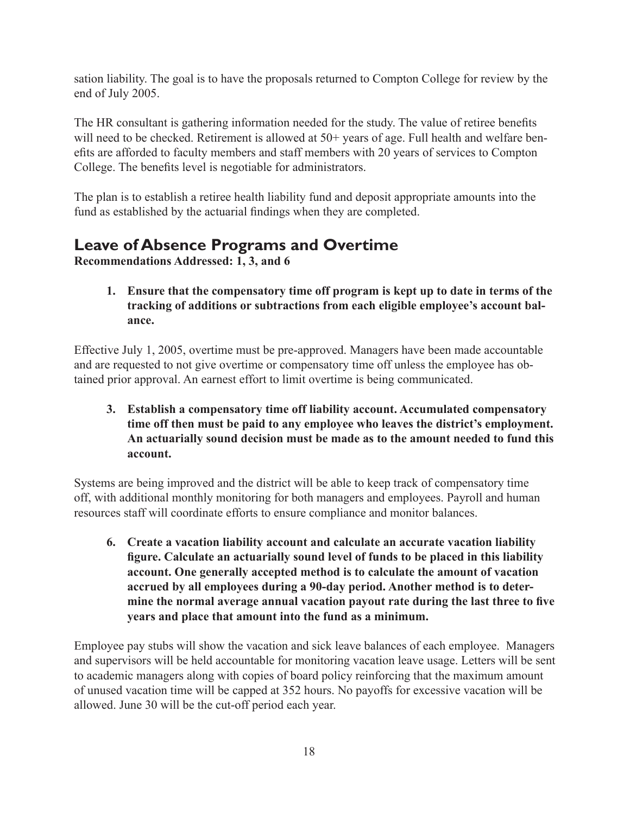sation liability. The goal is to have the proposals returned to Compton College for review by the end of July 2005.

The HR consultant is gathering information needed for the study. The value of retiree benefits will need to be checked. Retirement is allowed at 50+ years of age. Full health and welfare benefits are afforded to faculty members and staff members with 20 years of services to Compton College. The benefits level is negotiable for administrators.

The plan is to establish a retiree health liability fund and deposit appropriate amounts into the fund as established by the actuarial findings when they are completed.

### **Leave of Absence Programs and Overtime**

**Recommendations Addressed: 1, 3, and 6**

**1. Ensure that the compensatory time off program is kept up to date in terms of the tracking of additions or subtractions from each eligible employee's account balance.** 

Effective July 1, 2005, overtime must be pre-approved. Managers have been made accountable and are requested to not give overtime or compensatory time off unless the employee has obtained prior approval. An earnest effort to limit overtime is being communicated.

**3. Establish a compensatory time off liability account. Accumulated compensatory time off then must be paid to any employee who leaves the district's employment. An actuarially sound decision must be made as to the amount needed to fund this account.** 

Systems are being improved and the district will be able to keep track of compensatory time off, with additional monthly monitoring for both managers and employees. Payroll and human resources staff will coordinate efforts to ensure compliance and monitor balances.

**6. Create a vacation liability account and calculate an accurate vacation liability figure. Calculate an actuarially sound level of funds to be placed in this liability account. One generally accepted method is to calculate the amount of vacation accrued by all employees during a 90-day period. Another method is to determine the normal average annual vacation payout rate during the last three to five years and place that amount into the fund as a minimum.** 

Employee pay stubs will show the vacation and sick leave balances of each employee. Managers and supervisors will be held accountable for monitoring vacation leave usage. Letters will be sent to academic managers along with copies of board policy reinforcing that the maximum amount of unused vacation time will be capped at 352 hours. No payoffs for excessive vacation will be allowed. June 30 will be the cut-off period each year.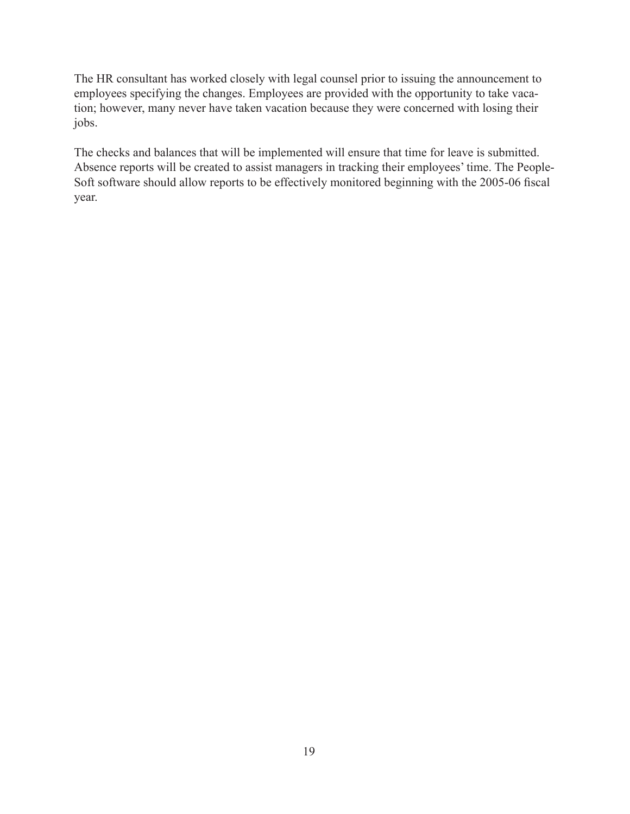The HR consultant has worked closely with legal counsel prior to issuing the announcement to employees specifying the changes. Employees are provided with the opportunity to take vacation; however, many never have taken vacation because they were concerned with losing their jobs.

The checks and balances that will be implemented will ensure that time for leave is submitted. Absence reports will be created to assist managers in tracking their employees' time. The People-Soft software should allow reports to be effectively monitored beginning with the 2005-06 fiscal year.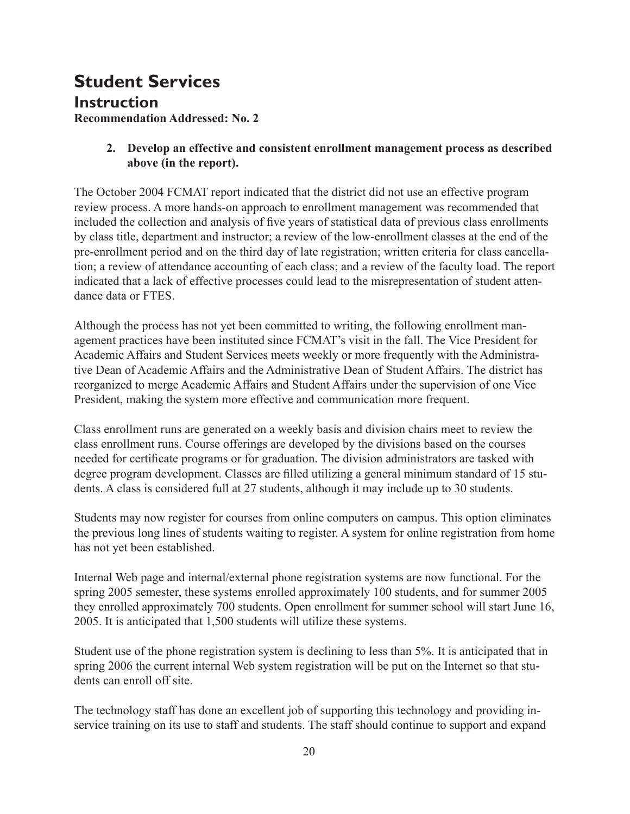# **Student Services**

**Instruction**

**Recommendation Addressed: No. 2**

#### **2. Develop an effective and consistent enrollment management process as described above (in the report).**

The October 2004 FCMAT report indicated that the district did not use an effective program review process. A more hands-on approach to enrollment management was recommended that included the collection and analysis of five years of statistical data of previous class enrollments by class title, department and instructor; a review of the low-enrollment classes at the end of the pre-enrollment period and on the third day of late registration; written criteria for class cancellation; a review of attendance accounting of each class; and a review of the faculty load. The report indicated that a lack of effective processes could lead to the misrepresentation of student attendance data or FTES

Although the process has not yet been committed to writing, the following enrollment management practices have been instituted since FCMAT's visit in the fall. The Vice President for Academic Affairs and Student Services meets weekly or more frequently with the Administrative Dean of Academic Affairs and the Administrative Dean of Student Affairs. The district has reorganized to merge Academic Affairs and Student Affairs under the supervision of one Vice President, making the system more effective and communication more frequent.

Class enrollment runs are generated on a weekly basis and division chairs meet to review the class enrollment runs. Course offerings are developed by the divisions based on the courses needed for certificate programs or for graduation. The division administrators are tasked with degree program development. Classes are filled utilizing a general minimum standard of 15 students. A class is considered full at 27 students, although it may include up to 30 students.

Students may now register for courses from online computers on campus. This option eliminates the previous long lines of students waiting to register. A system for online registration from home has not yet been established.

Internal Web page and internal/external phone registration systems are now functional. For the spring 2005 semester, these systems enrolled approximately 100 students, and for summer 2005 they enrolled approximately 700 students. Open enrollment for summer school will start June 16, 2005. It is anticipated that 1,500 students will utilize these systems.

Student use of the phone registration system is declining to less than 5%. It is anticipated that in spring 2006 the current internal Web system registration will be put on the Internet so that students can enroll off site.

The technology staff has done an excellent job of supporting this technology and providing inservice training on its use to staff and students. The staff should continue to support and expand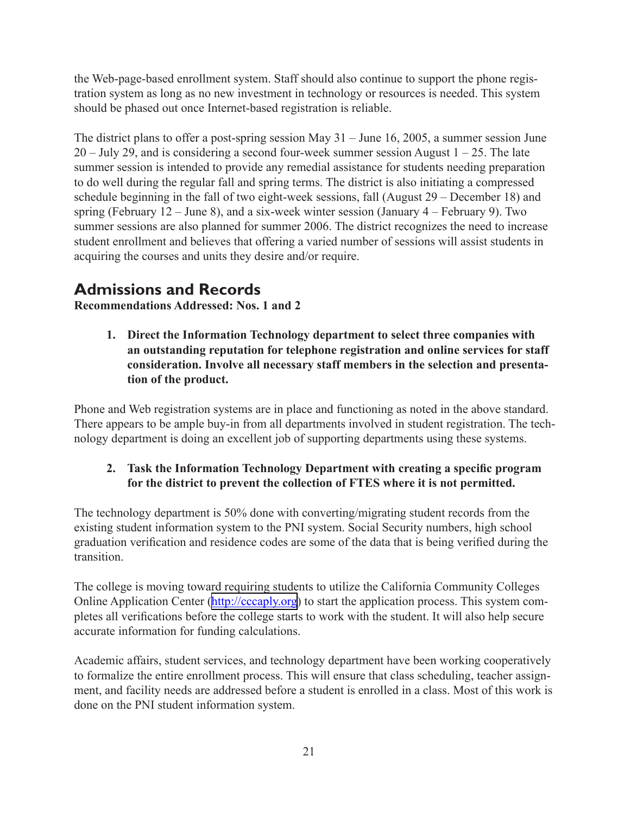the Web-page-based enrollment system. Staff should also continue to support the phone registration system as long as no new investment in technology or resources is needed. This system should be phased out once Internet-based registration is reliable.

The district plans to offer a post-spring session May  $31 -$  June 16, 2005, a summer session June  $20 -$  July 29, and is considering a second four-week summer session August  $1 - 25$ . The late summer session is intended to provide any remedial assistance for students needing preparation to do well during the regular fall and spring terms. The district is also initiating a compressed schedule beginning in the fall of two eight-week sessions, fall (August 29 – December 18) and spring (February  $12 -$  June 8), and a six-week winter session (January  $4 -$  February 9). Two summer sessions are also planned for summer 2006. The district recognizes the need to increase student enrollment and believes that offering a varied number of sessions will assist students in acquiring the courses and units they desire and/or require.

### **Admissions and Records**

**Recommendations Addressed: Nos. 1 and 2**

**1. Direct the Information Technology department to select three companies with an outstanding reputation for telephone registration and online services for staff consideration. Involve all necessary staff members in the selection and presentation of the product.**

Phone and Web registration systems are in place and functioning as noted in the above standard. There appears to be ample buy-in from all departments involved in student registration. The technology department is doing an excellent job of supporting departments using these systems.

#### **2. Task the Information Technology Department with creating a specific program for the district to prevent the collection of FTES where it is not permitted.**

The technology department is 50% done with converting/migrating student records from the existing student information system to the PNI system. Social Security numbers, high school graduation verification and residence codes are some of the data that is being verified during the transition.

The college is moving toward requiring students to utilize the California Community Colleges Online Application Center ([http://cccaply.org\)](http://cccaply.org) to start the application process. This system completes all verifications before the college starts to work with the student. It will also help secure accurate information for funding calculations.

Academic affairs, student services, and technology department have been working cooperatively to formalize the entire enrollment process. This will ensure that class scheduling, teacher assignment, and facility needs are addressed before a student is enrolled in a class. Most of this work is done on the PNI student information system.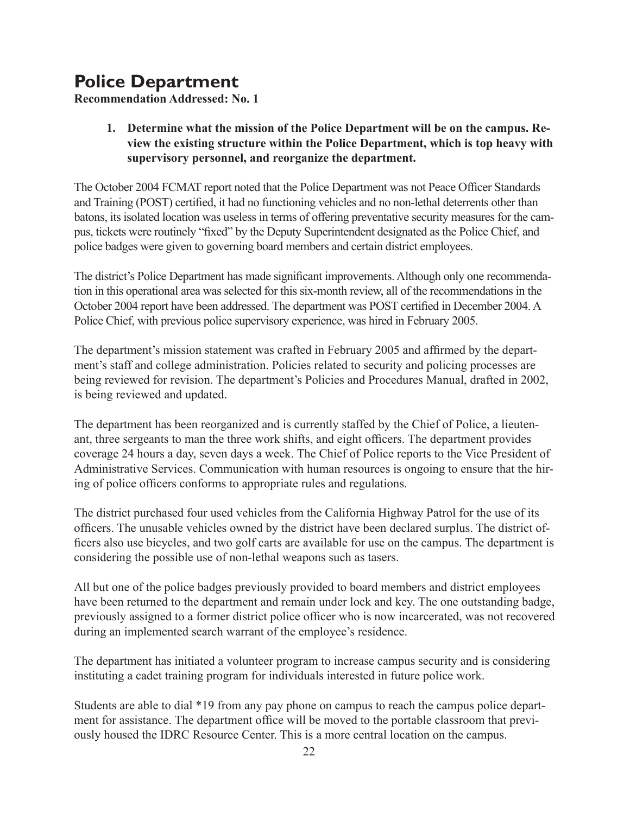# **Police Department**

**Recommendation Addressed: No. 1**

#### **1. Determine what the mission of the Police Department will be on the campus. Review the existing structure within the Police Department, which is top heavy with supervisory personnel, and reorganize the department.**

The October 2004 FCMAT report noted that the Police Department was not Peace Officer Standards and Training (POST) certified, it had no functioning vehicles and no non-lethal deterrents other than batons, its isolated location was useless in terms of offering preventative security measures for the campus, tickets were routinely "fixed" by the Deputy Superintendent designated as the Police Chief, and police badges were given to governing board members and certain district employees.

The district's Police Department has made significant improvements. Although only one recommendation in this operational area was selected for this six-month review, all of the recommendations in the October 2004 report have been addressed. The department was POST certified in December 2004. A Police Chief, with previous police supervisory experience, was hired in February 2005.

The department's mission statement was crafted in February 2005 and affirmed by the department's staff and college administration. Policies related to security and policing processes are being reviewed for revision. The department's Policies and Procedures Manual, drafted in 2002, is being reviewed and updated.

The department has been reorganized and is currently staffed by the Chief of Police, a lieutenant, three sergeants to man the three work shifts, and eight officers. The department provides coverage 24 hours a day, seven days a week. The Chief of Police reports to the Vice President of Administrative Services. Communication with human resources is ongoing to ensure that the hiring of police officers conforms to appropriate rules and regulations.

The district purchased four used vehicles from the California Highway Patrol for the use of its officers. The unusable vehicles owned by the district have been declared surplus. The district officers also use bicycles, and two golf carts are available for use on the campus. The department is considering the possible use of non-lethal weapons such as tasers.

All but one of the police badges previously provided to board members and district employees have been returned to the department and remain under lock and key. The one outstanding badge, previously assigned to a former district police officer who is now incarcerated, was not recovered during an implemented search warrant of the employee's residence.

The department has initiated a volunteer program to increase campus security and is considering instituting a cadet training program for individuals interested in future police work.

Students are able to dial \*19 from any pay phone on campus to reach the campus police department for assistance. The department office will be moved to the portable classroom that previously housed the IDRC Resource Center. This is a more central location on the campus.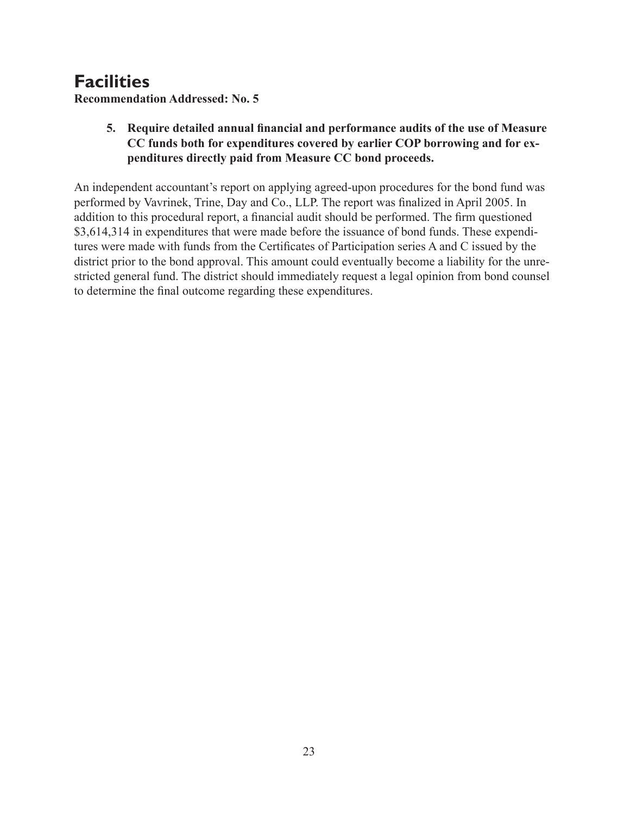# **Facilities**

**Recommendation Addressed: No. 5**

#### **5. Require detailed annual financial and performance audits of the use of Measure CC funds both for expenditures covered by earlier COP borrowing and for expenditures directly paid from Measure CC bond proceeds.**

An independent accountant's report on applying agreed-upon procedures for the bond fund was performed by Vavrinek, Trine, Day and Co., LLP. The report was finalized in April 2005. In addition to this procedural report, a financial audit should be performed. The firm questioned \$3,614,314 in expenditures that were made before the issuance of bond funds. These expenditures were made with funds from the Certificates of Participation series A and C issued by the district prior to the bond approval. This amount could eventually become a liability for the unrestricted general fund. The district should immediately request a legal opinion from bond counsel to determine the final outcome regarding these expenditures.